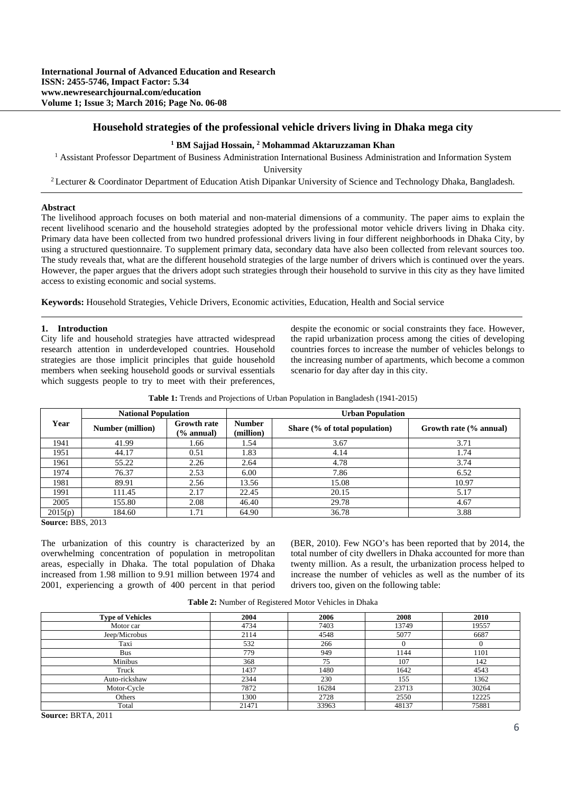# **Household strategies of the professional vehicle drivers living in Dhaka mega city**

# <sup>1</sup> BM Sajjad Hossain, <sup>2</sup> Mohammad Aktaruzzaman Khan

<sup>1</sup> Assistant Professor Department of Business Administration International Business Administration and Information System

University<br><sup>2</sup> Lecturer & Coordinator Department of Education Atish Dipankar University of Science and Technology Dhaka, Bangladesh.

#### **Abstract**

The livelihood approach focuses on both material and non-material dimensions of a community. The paper aims to explain the recent livelihood scenario and the household strategies adopted by the professional motor vehicle drivers living in Dhaka city. Primary data have been collected from two hundred professional drivers living in four different neighborhoods in Dhaka City, by using a structured questionnaire. To supplement primary data, secondary data have also been collected from relevant sources too. The study reveals that, what are the different household strategies of the large number of drivers which is continued over the years. However, the paper argues that the drivers adopt such strategies through their household to survive in this city as they have limited access to existing economic and social systems.

**Keywords:** Household Strategies, Vehicle Drivers, Economic activities, Education, Health and Social service

## **1. Introduction**

City life and household strategies have attracted widespread research attention in underdeveloped countries. Household strategies are those implicit principles that guide household members when seeking household goods or survival essentials which suggests people to try to meet with their preferences, despite the economic or social constraints they face. However, the rapid urbanization process among the cities of developing countries forces to increase the number of vehicles belongs to the increasing number of apartments, which become a common scenario for day after day in this city.

|                   | <b>National Population</b> |                                  | <b>Urban Population</b>    |                                  |                        |  |
|-------------------|----------------------------|----------------------------------|----------------------------|----------------------------------|------------------------|--|
| Year              | <b>Number (million)</b>    | <b>Growth rate</b><br>(% annual) | <b>Number</b><br>(million) | Share $(\%$ of total population) | Growth rate (% annual) |  |
| 1941              | 41.99                      | .66                              | 1.54                       | 3.67                             | 3.71                   |  |
| 1951              | 44.17                      | 0.51                             | 1.83                       | 4.14                             | 1.74                   |  |
| 1961              | 55.22                      | 2.26                             | 2.64                       | 4.78                             | 3.74                   |  |
| 1974              | 76.37                      | 2.53                             | 6.00                       | 7.86                             | 6.52                   |  |
| 1981              | 89.91                      | 2.56                             | 13.56                      | 15.08                            | 10.97                  |  |
| 1991              | 111.45                     | 2.17                             | 22.45                      | 20.15                            | 5.17                   |  |
| 2005              | 155.80                     | 2.08                             | 46.40                      | 29.78                            | 4.67                   |  |
| 2015(p)<br>$\sim$ | 184.60<br>$PPA$ $0.10$     | 1.71                             | 64.90                      | 36.78                            | 3.88                   |  |

**Table 1:** Trends and Projections of Urban Population in Bangladesh (1941-2015)

**Source:** BBS, 2013

The urbanization of this country is characterized by an overwhelming concentration of population in metropolitan areas, especially in Dhaka. The total population of Dhaka increased from 1.98 million to 9.91 million between 1974 and 2001, experiencing a growth of 400 percent in that period (BER, 2010). Few NGO's has been reported that by 2014, the total number of city dwellers in Dhaka accounted for more than twenty million. As a result, the urbanization process helped to increase the number of vehicles as well as the number of its drivers too, given on the following table:

| <b>Table 2:</b> Number of Registered Motor Vehicles in Dhaka |  |
|--------------------------------------------------------------|--|
|--------------------------------------------------------------|--|

| <b>Type of Vehicles</b> | 2004  | 2006  | 2008  | 2010  |
|-------------------------|-------|-------|-------|-------|
| Motor car               | 4734  | 7403  | 13749 | 19557 |
| Jeep/Microbus           | 2114  | 4548  | 5077  | 6687  |
| Taxi                    | 532   | 266   |       |       |
| <b>Bus</b>              | 779   | 949   | 1144  | 1101  |
| Minibus                 | 368   | 75    | 107   | 142   |
| Truck                   | 1437  | 1480  | 1642  | 4543  |
| Auto-rickshaw           | 2344  | 230   | 155   | 1362  |
| Motor-Cycle             | 7872  | 16284 | 23713 | 30264 |
| Others                  | 1300  | 2728  | 2550  | 12225 |
| Total                   | 21471 | 33963 | 48137 | 75881 |

**Source:** BRTA, 2011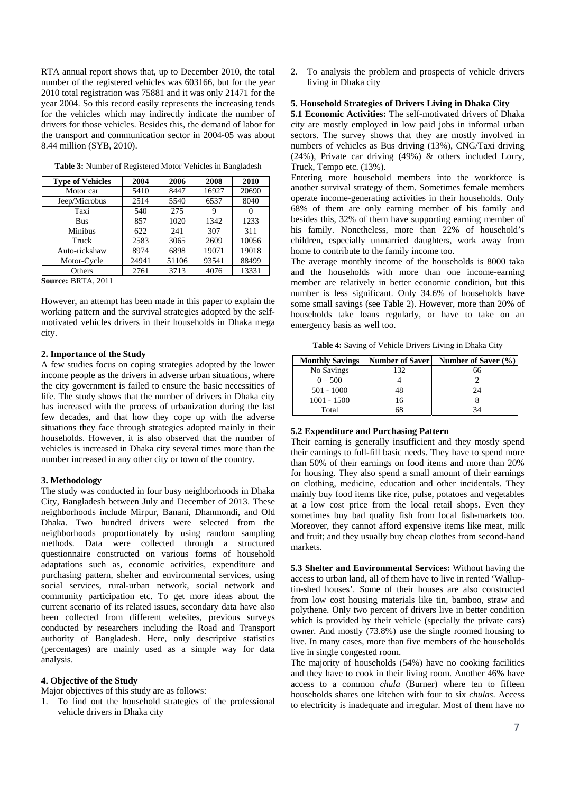RTA annual report shows that, up to December 2010, the total number of the registered vehicles was 603166, but for the year 2010 total registration was 75881 and it was only 21471 for the year 2004. So this record easily represents the increasing tends for the vehicles which may indirectly indicate the number of drivers for those vehicles. Besides this, the demand of labor for the transport and communication sector in 2004-05 was about 8.44 million (SYB, 2010).

| <b>Type of Vehicles</b> | 2004  | 2006  | 2008  | 2010  |
|-------------------------|-------|-------|-------|-------|
| Motor car               | 5410  | 8447  | 16927 | 20690 |
| Jeep/Microbus           | 2514  | 5540  | 6537  | 8040  |
| Taxi                    | 540   | 275   | 9     |       |
| Bus                     | 857   | 1020  | 1342  | 1233  |
| Minibus                 | 622   | 241   | 307   | 311   |
| Truck                   | 2583  | 3065  | 2609  | 10056 |
| Auto-rickshaw           | 8974  | 6898  | 19071 | 19018 |
| Motor-Cycle             | 24941 | 51106 | 93541 | 88499 |
| Others                  | 2761  | 3713  | 4076  | 13331 |
| $\sim$<br>____.__       |       |       |       |       |

**Table 3:** Number of Registered Motor Vehicles in Bangladesh

**Source:** BRTA, 2011

However, an attempt has been made in this paper to explain the working pattern and the survival strategies adopted by the selfmotivated vehicles drivers in their households in Dhaka mega city.

## **2. Importance of the Study**

A few studies focus on coping strategies adopted by the lower income people as the drivers in adverse urban situations, where the city government is failed to ensure the basic necessities of life. The study shows that the number of drivers in Dhaka city has increased with the process of urbanization during the last few decades, and that how they cope up with the adverse situations they face through strategies adopted mainly in their households. However, it is also observed that the number of vehicles is increased in Dhaka city several times more than the number increased in any other city or town of the country.

#### **3. Methodology**

The study was conducted in four busy neighborhoods in Dhaka City, Bangladesh between July and December of 2013. These neighborhoods include Mirpur, Banani, Dhanmondi, and Old Dhaka. Two hundred drivers were selected from the neighborhoods proportionately by using random sampling methods. Data were collected through a structured questionnaire constructed on various forms of household adaptations such as, economic activities, expenditure and purchasing pattern, shelter and environmental services, using social services, rural-urban network, social network and community participation etc. To get more ideas about the current scenario of its related issues, secondary data have also been collected from different websites, previous surveys conducted by researchers including the Road and Transport authority of Bangladesh. Here, only descriptive statistics (percentages) are mainly used as a simple way for data analysis.

## **4. Objective of the Study**

Major objectives of this study are as follows:

1. To find out the household strategies of the professional vehicle drivers in Dhaka city

2. To analysis the problem and prospects of vehicle drivers living in Dhaka city

# **5. Household Strategies of Drivers Living in Dhaka City**

**5.1 Economic Activities:** The self-motivated drivers of Dhaka city are mostly employed in low paid jobs in informal urban sectors. The survey shows that they are mostly involved in numbers of vehicles as Bus driving (13%), CNG/Taxi driving (24%), Private car driving (49%) & others included Lorry, Truck, Tempo etc. (13%).

Entering more household members into the workforce is another survival strategy of them. Sometimes female members operate income-generating activities in their households. Only 68% of them are only earning member of his family and besides this, 32% of them have supporting earning member of his family. Nonetheless, more than 22% of household's children, especially unmarried daughters, work away from home to contribute to the family income too.

The average monthly income of the households is 8000 taka and the households with more than one income-earning member are relatively in better economic condition, but this number is less significant. Only 34.6% of households have some small savings (see Table 2). However, more than 20% of households take loans regularly, or have to take on an emergency basis as well too.

**Table 4:** Saving of Vehicle Drivers Living in Dhaka City

| <b>Monthly Savings</b> | <b>Number of Saver</b> | Number of Saver (%) |
|------------------------|------------------------|---------------------|
| No Savings             | 132                    | 66                  |
| $0 - 500$              |                        |                     |
| $501 - 1000$           |                        | 24                  |
| $1001 - 1500$          |                        |                     |
| Total                  |                        |                     |

#### **5.2 Expenditure and Purchasing Pattern**

Their earning is generally insufficient and they mostly spend their earnings to full-fill basic needs. They have to spend more than 50% of their earnings on food items and more than 20% for housing. They also spend a small amount of their earnings on clothing, medicine, education and other incidentals. They mainly buy food items like rice, pulse, potatoes and vegetables at a low cost price from the local retail shops. Even they sometimes buy bad quality fish from local fish-markets too. Moreover, they cannot afford expensive items like meat, milk and fruit; and they usually buy cheap clothes from second-hand markets.

**5.3 Shelter and Environmental Services:** Without having the access to urban land, all of them have to live in rented 'Walluptin-shed houses'. Some of their houses are also constructed from low cost housing materials like tin, bamboo, straw and polythene. Only two percent of drivers live in better condition which is provided by their vehicle (specially the private cars) owner. And mostly (73.8%) use the single roomed housing to live. In many cases, more than five members of the households live in single congested room.

The majority of households (54%) have no cooking facilities and they have to cook in their living room. Another 46% have access to a common *chula* (Burner) where ten to fifteen households shares one kitchen with four to six *chulas*. Access to electricity is inadequate and irregular. Most of them have no